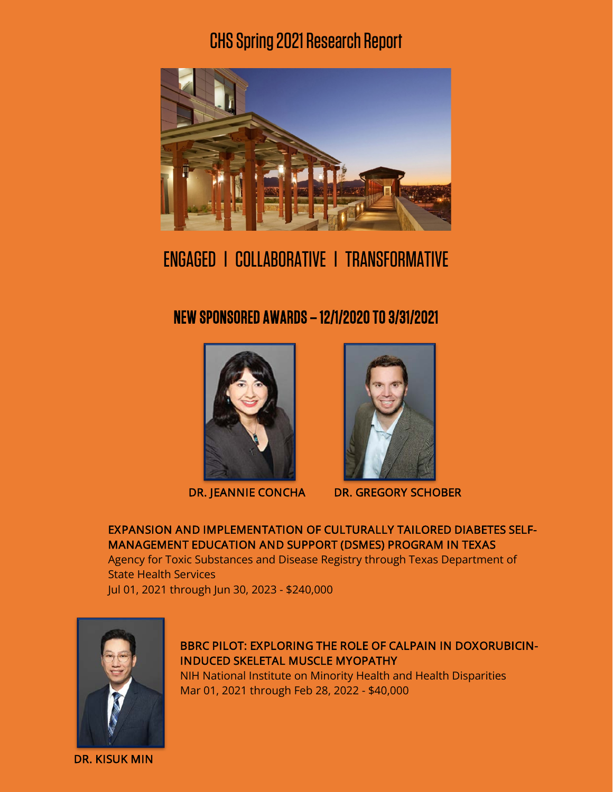# CHS Spring 2021Research Report



# ENGAGED l COLLABORATIVE l TRANSFORMATIVE

NEW SPONSORED AWARDS – 12/1/2020 TO 3/31/2021





DR. JEANNIE CONCHA DR. GREGORY SCHOBER

## EXPANSION AND IMPLEMENTATION OF CULTURALLY TAILORED DIABETES SELF-MANAGEMENT EDUCATION AND SUPPORT (DSMES) PROGRAM IN TEXAS

Agency for Toxic Substances and Disease Registry through Texas Department of State Health Services

Jul 01, 2021 through Jun 30, 2023 - \$240,000



BBRC PILOT: EXPLORING THE ROLE OF CALPAIN IN DOXORUBICIN-INDUCED SKELETAL MUSCLE MYOPATHY

NIH National Institute on Minority Health and Health Disparities Mar 01, 2021 through Feb 28, 2022 - \$40,000

DR. KISUK MIN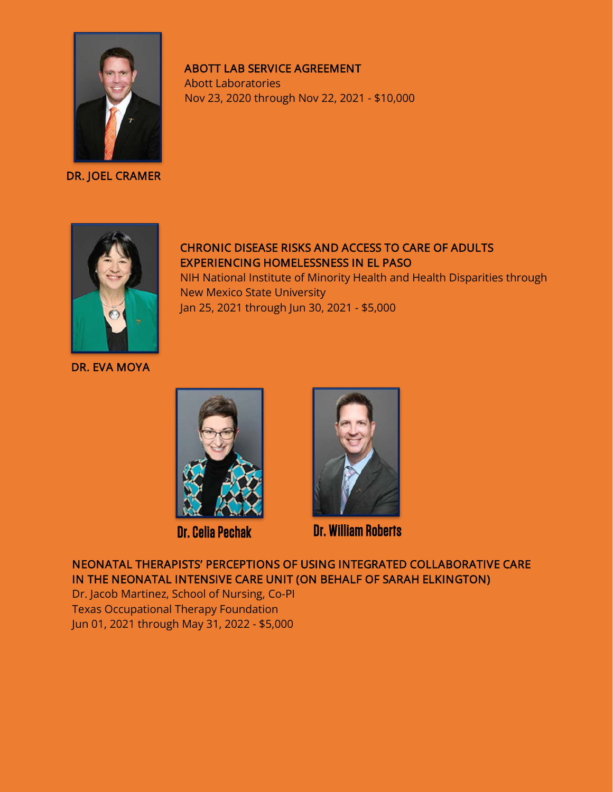

DR. JOEL CRAMER

## ABOTT LAB SERVICE AGREEMENT

Abott Laboratories Nov 23, 2020 through Nov 22, 2021 - \$10,000



# CHRONIC DISEASE RISKS AND ACCESS TO CARE OF ADULTS EXPERIENCING HOMELESSNESS IN EL PASO

NIH National Institute of Minority Health and Health Disparities through New Mexico State University Jan 25, 2021 through Jun 30, 2021 - \$5,000

DR. EVA MOYA





Dr. Celia Pechak Dr. William Roberts

NEONATAL THERAPISTS' PERCEPTIONS OF USING INTEGRATED COLLABORATIVE CARE IN THE NEONATAL INTENSIVE CARE UNIT (ON BEHALF OF SARAH ELKINGTON)

Dr. Jacob Martinez, School of Nursing, Co-PI Texas Occupational Therapy Foundation Jun 01, 2021 through May 31, 2022 - \$5,000